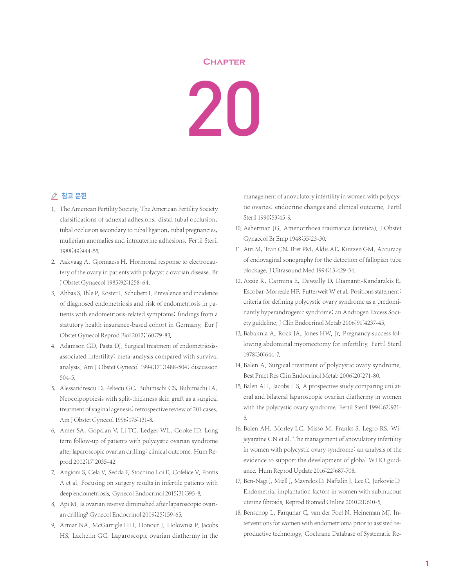## **Chapter**

20

## △ 참고 문헌

- 1. The American Fertility Society. The American Fertility Society classifications of adnexal adhesions, distal tubal occlusion, tubal occlusion secondary to tubal ligation, tubal pregnancies, mullerian anomalies and intrauterine adhesions. Fertil Steril 1988;49:944-55.
- 2. Aakvaag A, Gjonnaess H. Hormonal response to electrocautery of the ovary in patients with polycystic ovarian disease. Br J Obstet Gynaecol 1985;92:1258-64.
- 3. Abbas S, Ihle P, Koster I, Schubert I. Prevalence and incidence of diagnosed endometriosis and risk of endometriosis in patients with endometriosis-related symptoms: findings from a statutory health insurance-based cohort in Germany. Eur J Obstet Gynecol Reprod Biol 2012;160:79-83.
- 4. Adamson GD, Pasta DJ. Surgical treatment of endometriosisassociated infertility: meta-analysis compared with survival analysis. Am J Obstet Gynecol 1994;171:1488-504; discussion 504-5.
- 5. Alessandrescu D, Peltecu GC, Buhimschi CS, Buhimschi IA. Neocolpopoiesis with split-thickness skin graft as a surgical treatment of vaginal agenesis: retrospective review of 201 cases. Am J Obstet Gynecol 1996;175:131-8.
- 6. Amer SA, Gopalan V, Li TC, Ledger WL, Cooke ID. Long term follow-up of patients with polycystic ovarian syndrome after laparoscopic ovarian drilling: clinical outcome. Hum Reprod 2002;17:2035-42.
- 7. Angioni S, Cela V, Sedda F, Stochino Loi E, Cofelice V, Pontis A et al. Focusing on surgery results in infertile patients with deep endometriosis. Gynecol Endocrinol 2015;31:595-8.
- 8. Api M. Is ovarian reserve diminished after laparoscopic ovarian drilling? Gynecol Endocrinol 2009;25:159-65.
- 9. Armar NA, McGarrigle HH, Honour J, Holownia P, Jacobs HS, Lachelin GC. Laparoscopic ovarian diathermy in the

management of anovulatory infertility in women with polycystic ovaries: endocrine changes and clinical outcome. Fertil Steril 1990;53:45-9.

- 10. Asherman JG. Amenorrhoea traumatica (atretica). J Obstet Gynaecol Br Emp 1948;55:23-30.
- 11. Atri M, Tran CN, Bret PM, Aldis AE, Kintzen GM. Accuracy of endovaginal sonography for the detection of fallopian tube blockage.J Ultrasound Med 1994;13:429-34.
- 12. Azziz R, Carmina E, Dewailly D, Diamanti-Kandarakis E, Escobar-Morreale HF, Futterweit W et al. Positions statement: criteria for defining polycystic ovary syndrome as a predominantly hyperandrogenic syndrome: an Androgen Excess Society guideline.J Clin Endocrinol Metab 2006;91:4237-45.
- 13. Babaknia A, Rock JA, Jones HW, Jr. Pregnancy success following abdominal myomectomy for infertility. Fertil Steril 1978;30:644-7.
- 14. Balen A. Surgical treatment of polycystic ovary syndrome. Best Pract Res Clin Endocrinol Metab 2006;20:271-80.
- 15. Balen AH, Jacobs HS. A prospective study comparing unilateral and bilateral laparoscopic ovarian diathermy in women with the polycystic ovary syndrome. Fertil Steril 1994;62:921- 5.
- 16. Balen AH, Morley LC, Misso M, Franks S, Legro RS, Wijeyaratne CN et al. The management of anovulatory infertility in women with polycystic ovary syndrome: an analysis of the evidence to support the development of global WHO guidance. Hum Reprod Update 2016;22:687-708.
- 17. Ben-Nagi J, Miell J, Mavrelos D, Naftalin J, Lee C, Jurkovic D. Endometrial implantation factors in women with submucous uterine fibroids. Reprod Biomed Online 2010;21:610-5.
- 18. Benschop L, Farquhar C, van der Poel N, Heineman MJ. Interventions for women with endometrioma prior to assisted reproductive technology. Cochrane Database of Systematic Re-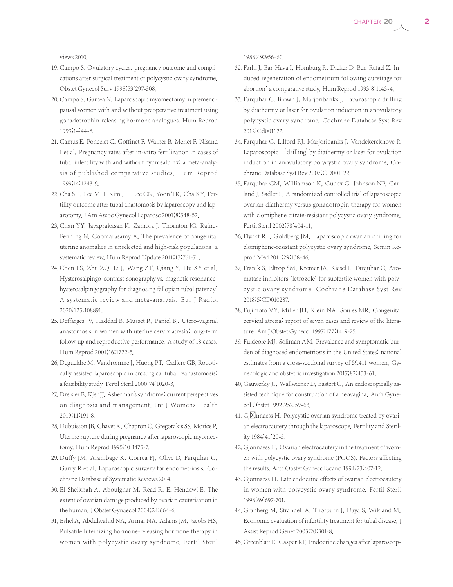views 2010.

- 19. Campo S. Ovulatory cycles, pregnancy outcome and complications after surgical treatment of polycystic ovary syndrome. Obstet Gynecol Surv 1998;53:297-308.
- 20. Campo S, Garcea N. Laparoscopic myomectomy in premenopausal women with and without preoperative treatment using gonadotrophin-releasing hormone analogues. Hum Reprod 1999;14:44-8.
- 21. Camus E, Poncelet C, Goffinet F, Wainer B, Merlet F, Nisand I et al. Pregnancy rates after in-vitro fertilization in cases of tubal infertility with and without hydrosalpinx: a meta-analysis of published comparative studies. Hum Reprod 1999;14:1243-9.
- 22. Cha SH, Lee MH, Kim JH, Lee CN, Yoon TK, Cha KY. Fertility outcome after tubal anastomosis by laparoscopy and laparotomy. J Am Assoc Gynecol Laparosc 2001;8:348-52.
- 23. Chan YY, Jayaprakasan K, Zamora J, Thornton JG, Raine-Fenning N, Coomarasamy A. The prevalence of congenital uterine anomalies in unselected and high-risk populations: a systematic review. Hum Reprod Update 2011;17:761-71.
- 24. Chen LS, Zhu ZQ, Li J, Wang ZT, Qiang Y, Hu XY et al. Hysterosalpingo-contrast-sonography vs. magnetic resonancehysterosalpingography for diagnosing fallopian tubal patency: A systematic review and meta-analysis. Eur J Radiol 2020;125:108891.
- 25. Deffarges JV, Haddad B, Musset R, Paniel BJ. Utero-vaginal anastomosis in women with uterine cervix atresia: long-term follow-up and reproductive performance. A study of 18 cases. Hum Reprod 2001;16:1722-5.
- 26. Degueldre M, Vandromme J, Huong PT, Cadiere GB. Robotically assisted laparoscopic microsurgical tubal reanastomosis: a feasibility study. Fertil Steril 2000;74:1020-3.
- 27. Dreisler E, Kjer JJ. Asherman's syndrome: current perspectives on diagnosis and management. Int J Womens Health 2019;11:191-8.
- 28. Dubuisson JB, Chavet X, Chapron C, Gregorakis SS, Morice P. Uterine rupture during pregnancy after laparoscopic myomectomy. Hum Reprod 1995;10:1475-7.
- 29. Duffy JM, Arambage K, Correa FJ, Olive D, Farquhar C, Garry R et al. Laparoscopic surgery for endometriosis. Cochrane Database of Systematic Reviews 2014.
- 30. El-Sheikhah A, Aboulghar M, Read R, El-Hendawi E. The extent of ovarian damage produced by ovarian cauterisation in the human. J Obstet Gynaecol 2004;24:664-6.
- 31. Eshel A, Abdulwahid NA, Armar NA, Adams JM, Jacobs HS. Pulsatile luteinizing hormone-releasing hormone therapy in women with polycystic ovary syndrome. Fertil Steril

1988;49:956-60.

- 32. Farhi J, Bar-Hava I, Homburg R, Dicker D, Ben-Rafael Z. Induced regeneration of endometrium following curettage for abortion: a comparative study. Hum Reprod 1993;8:1143-4.
- 33. Farquhar C, Brown J, Marjoribanks J. Laparoscopic drilling by diathermy or laser for ovulation induction in anovulatory polycystic ovary syndrome. Cochrane Database Syst Rev 2012:Cd001122.
- 34. Farquhar C, Lilford RJ, Marjoribanks J, Vandekerckhove P. Laparoscopic 'drilling' by diathermy or laser for ovulation induction in anovulatory polycystic ovary syndrome. Cochrane Database Syst Rev 2007:CD001122.
- 35. Farquhar CM, Williamson K, Gudex G, Johnson NP, Garland J, Sadler L. A randomized controlled trial of laparoscopic ovarian diathermy versus gonadotropin therapy for women with clomiphene citrate-resistant polycystic ovary syndrome. Fertil Steril 2002;78:404-11.
- 36. Flyckt RL, Goldberg JM. Laparoscopic ovarian drilling for clomiphene-resistant polycystic ovary syndrome. Semin Reprod Med 2011;29:138-46.
- 37. Franik S, Eltrop SM, Kremer JA, Kiesel L, Farquhar C. Aromatase inhibitors (letrozole) for subfertile women with polycystic ovary syndrome. Cochrane Database Syst Rev 2018;5:CD010287.
- 38. Fujimoto VY, Miller JH, Klein NA, Soules MR. Congenital cervical atresia: report of seven cases and review of the literature. Am J Obstet Gynecol 1997;177:1419-25.
- 39. Fuldeore MJ, Soliman AM. Prevalence and symptomatic burden of diagnosed endometriosis in the United States: national estimates from a cross-sectional survey of 59,411 women. Gynecologic and obstetric investigation 2017;82:453-61.
- 40. Gauwerky JF, Wallwiener D, Bastert G. An endoscopically assisted technique for construction of a neovagina. Arch Gynecol Obstet 1992;252:59-63.
- 41. Gj $\boxtimes$ nnaess H. Polycystic ovarian syndrome treated by ovarian electrocautery through the laparoscope. Fertility and Sterility 1984;41:20-5.
- 42. Gjonnaess H. Ovarian electrocautery in the treatment of women with polycystic ovary syndrome (PCOS). Factors affecting the results. Acta Obstet Gynecol Scand 1994;73:407-12.
- 43. Gjonnaess H. Late endocrine effects of ovarian electrocautery in women with polycystic ovary syndrome. Fertil Steril 1998;69:697-701.
- 44. Granberg M, Strandell A, Thorburn J, Daya S, Wikland M. Economic evaluation of infertility treatment for tubal disease. J Assist Reprod Genet 2003;20:301-8.
- 45. Greenblatt E, Casper RF. Endocrine changes after laparoscop-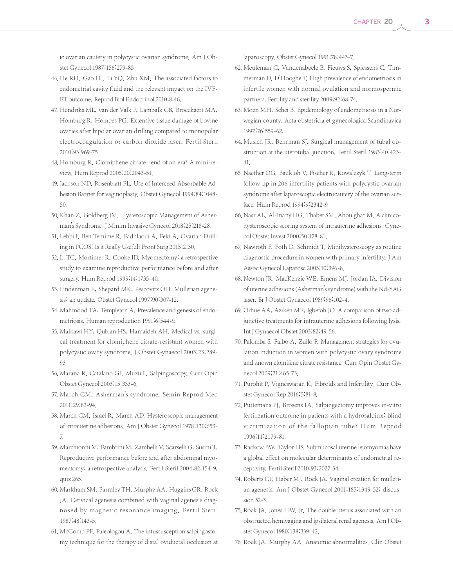ic ovarian cautery in polycystic ovarian syndrome. Am J Obstet Gynecol 1987;156:279-85.

- 46. He RH, Gao HJ, Li YQ, Zhu XM. The associated factors to endometrial cavity fluid and the relevant impact on the IVF-ET outcome. Reprod Biol Endocrinol 2010;8:46.
- 47. Hendriks ML, van der Valk P, Lambalk CB, Broeckaert MA, Homburg R, Hompes PG. Extensive tissue damage of bovine ovaries after bipolar ovarian drilling compared to monopolar electrocoagulation or carbon dioxide laser. Fertil Steril 2010;93:969-75.
- 48. Homburg R. Clomiphene citrate--end of an era? A mini-review. Hum Reprod 2005;20:2043-51.
- 49. Jackson ND, Rosenblatt PL. Use of Interceed Absorbable Adhesion Barrier for vaginoplasty. Obstet Gynecol 1994;84:1048- 50.
- 50. Khan Z, Goldberg JM. Hysteroscopic Management of Asherman's Syndrome.J Minim Invasive Gynecol 2018;25:218-28.
- 51. Lebbi I, Ben Temime R, Fadhlaoui A, Feki A. Ovarian Drilling in PCOS: Is it Really Useful? Front Surg 2015;2:30.
- 52. Li TC, Mortimer R, Cooke ID, Myomectomy: a retrospective study to examine reproductive performance before and after surgery. Hum Reprod 1999;14:1735-40.
- 53. Lindenman E, Shepard MK, Pescovitz OH. Mullerian agenesis: an update. Obstet Gynecol 1997;90:307-12.
- 54. Mahmood TA, Templeton A. Prevalence and genesis of endometriosis. Human reproduction 1991;6:544-9.
- 55. Malkawi HY, Qublan HS, Hamaideh AH. Medical vs. surgical treatment for clomiphene citrate-resistant women with polycystic ovary syndrome. J Obstet Gynaecol 2003;23:289- 93.
- 56. Marana R, Catalano GF, Muzii L. Salpingoscopy. Curr Opin Obstet Gynecol 2003;15:333-6.
- 57. March CM. Asherman's syndrome. Semin Reprod Med 2011;29:83-94.
- 58. March CM, Israel R, March AD. Hysteroscopic management of intrauterine adhesions. Am J Obstet Gynecol 1978;130:653- 7.
- 59. Marchionni M, Fambrini M, Zambelli V, Scarselli G, Susini T. Reproductive performance before and after abdominal myomectomy: a retrospective analysis. Fertil Steril 2004;82:154-9, quiz 265.
- 60. Markham SM, Parmley TH, Murphy AA, Huggins GR, Rock JA. Cervical agenesis combined with vaginal agenesis diagnosed by magnetic resonance imaging. Fertil Steril 1987;48:143-5.
- 61. McComb PF, Paleologou A. The intussusception salpingostomy technique for the therapy of distal oviductal occlusion at

laparoscopy. Obstet Gynecol 1991;78:443-7.

- 62. Meuleman C, Vandenabeele B, Fieuws S, Spiessens C, Timmerman D, D'Hooghe T. High prevalence of endometriosis in infertile women with normal ovulation and normospermic partners. Fertility and sterility 2009;92:68-74.
- 63. Moen MH, Schei B. Epidemiology of endometriosis in a Norwegian county. Acta obstetricia et gynecologica Scandinavica 1997;76:559-62.
- 64. Musich JR, Behrman SJ. Surgical management of tubal obstruction at the uterotubal junction. Fertil Steril 1983;40:423- 41.
- 65. Naether OG, Baukloh V, Fischer R, Kowalczyk T. Long-term follow-up in 206 infertility patients with polycystic ovarian syndrome after laparoscopic electrocautery of the ovarian surface. Hum Reprod 1994;9:2342-9.
- 66. Nasr AL, Al-Inany HG, Thabet SM, Aboulghar M. A clinicohysteroscopic scoring system of intrauterine adhesions. Gynecol Obstet Invest 2000;50:178-81.
- 67. Nawroth F, Foth D, Schmidt T. Minihysteroscopy as routine diagnostic procedure in women with primary infertility. J Am Assoc Gynecol Laparosc 2003;10:396-8.
- 68. Newton JR, MacKenzie WE, Emens MJ, Jordan JA. Division of uterine adhesions (Asherman's syndrome) with the Nd-YAG laser. Br J Obstet Gynaecol 1989;96:102-4.
- 69. Orhue AA, Aziken ME, Igbefoh JO. A comparison of two adjunctive treatments for intrauterine adhesions following lysis. Int J Gynaecol Obstet 2003;82:49-56.
- 70. Palomba S, Falbo A, Zullo F. Management strategies for ovulation induction in women with polycystic ovary syndrome and known clomifene citrate resistance. Curr Opin Obstet Gynecol 2009;21:465-73.
- 71. Purohit P, Vigneswaran K. Fibroids and Infertility. Curr Obstet Gynecol Rep 2016;5:81-8.
- 72. Puttemans PJ, Brosens IA. Salpingectomy improves in-vitro fertilization outcome in patients with a hydrosalpinx: blind victimization of the fallopian tube? Hum Reprod 1996;11:2079-81.
- 73. Rackow BW, Taylor HS. Submucosal uterine leiomyomas have a global effect on molecular determinants of endometrial receptivity. Fertil Steril 2010;93:2027-34.
- 74. Roberts CP, Haber MJ, Rock JA. Vaginal creation for mullerian agenesis. Am J Obstet Gynecol 2001;185:1349-52; discussion 52-3.
- 75. Rock JA, Jones HW, Jr. The double uterus associated with an obstructed hemivagina and ipsilateral renal agenesis. Am J Obstet Gynecol 1980;138:339-42.
- 76. Rock JA, Murphy AA. Anatomic abnormalities. Clin Obstet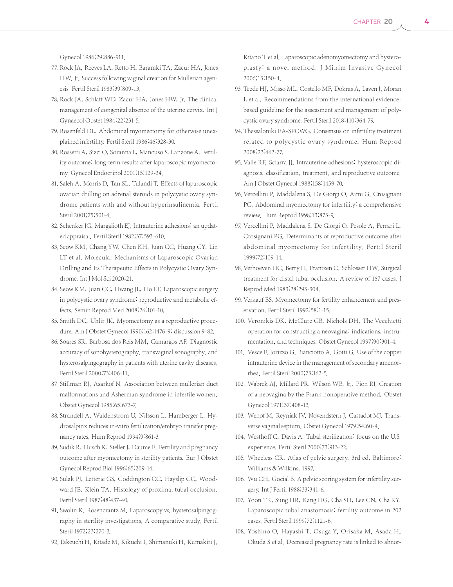Gynecol 1986;29:886-911.

- 77. Rock JA, Reeves LA, Retto H, Baramki TA, Zacur HA, Jones HW, Jr. Success following vaginal creation for Mullerian agenesis. Fertil Steril 1983;39:809-13.
- 78. Rock JA, Schlaff WD, Zacur HA, Jones HW, Jr. The clinical management of congenital absence of the uterine cervix. Int J Gynaecol Obstet 1984;22:231-5.
- 79. Rosenfeld DL. Abdominal myomectomy for otherwise unexplained infertility. Fertil Steril 1986;46:328-30.
- 80. Rossetti A, Sizzi O, Soranna L, Mancuso S, Lanzone A. Fertility outcome: long-term results after laparoscopic myomectomy. Gynecol Endocrinol 2001;15:129-34.
- 81. Saleh A, Morris D, Tan SL, Tulandi T. Effects of laparoscopic ovarian drilling on adrenal steroids in polycystic ovary syndrome patients with and without hyperinsulinemia. Fertil Steril 2001;75:501-4.
- 82. Schenker JG, Margalioth EJ. Intrauterine adhesions: an updated appraisal. Fertil Steril 1982;37:593-610.
- 83. Seow KM, Chang YW, Chen KH, Juan CC, Huang CY, Lin LT et al. Molecular Mechanisms of Laparoscopic Ovarian Drilling and Its Therapeutic Effects in Polycystic Ovary Syndrome.Int J Mol Sci 2020;21.
- 84. Seow KM, Juan CC, Hwang JL, Ho LT. Laparoscopic surgery in polycystic ovary syndrome: reproductive and metabolic effects. Semin Reprod Med 2008;26:101-10.
- 85. Smith DC, Uhlir JK. Myomectomy as a reproductive procedure. Am J Obstet Gynecol 1990;162:1476-9; discussion 9-82.
- 86. Soares SR, Barbosa dos Reis MM, Camargos AF. Diagnostic accuracy of sonohysterography, transvaginal sonography, and hysterosalpingography in patients with uterine cavity diseases. Fertil Steril 2000;73:406-11.
- 87. Stillman RJ, Asarkof N. Association between mullerian duct malformations and Asherman syndrome in infertile women. Obstet Gynecol 1985;65:673-7.
- 88. Strandell A, Waldenstrom U, Nilsson L, Hamberger L. Hydrosalpinx reduces in-vitro fertilization/embryo transfer pregnancy rates. Hum Reprod 1994;9:861-3.
- 89. Sudik R, Husch K, Steller J, Daume E. Fertility and pregnancy outcome after myomectomy in sterility patients. Eur J Obstet Gynecol Reprod Biol 1996;65:209-14.
- 90. Sulak PJ, Letterie GS, Coddington CC, Hayslip CC, Woodward JE, Klein TA. Histology of proximal tubal occlusion. Fertil Steril 1987;48:437-40.
- 91. Swolin K, Rosencrantz M. Laparoscopy vs. hysterosalpingography in sterility investigations. A comparative study. Fertil Steril 1972;23:270-3.
- 92. Takeuchi H, Kitade M, Kikuchi I, Shimanuki H, Kumakiri J,

Kitano T et al. Laparoscopic adenomyomectomy and hysteroplasty: a novel method. J Minim Invasive Gynecol 2006;13:150-4.

- 93. Teede HJ, Misso ML, Costello MF, Dokras A, Laven J, Moran L et al. Recommendations from the international evidencebased guideline for the assessment and management of polycystic ovary syndrome. Fertil Steril 2018;110:364-79.
- 94. Thessaloniki EA-SPCWG. Consensus on infertility treatment related to polycystic ovary syndrome. Hum Reprod 2008;23:462-77.
- 95. Valle RF, Sciarra JJ. Intrauterine adhesions: hysteroscopic diagnosis, classification, treatment, and reproductive outcome. Am J Obstet Gynecol 1988;158:1459-70.
- 96. Vercellini P, Maddalena S, De Giorgi O, Aimi G, Crosignani PG. Abdominal myomectomy for infertility: a comprehensive review. Hum Reprod 1998;13:873-9.
- 97. Vercellini P, Maddalena S, De Giorgi O, Pesole A, Ferrari L, Crosignani PG. Determinants of reproductive outcome after abdominal myomectomy for infertility. Fertil Steril 1999;72:109-14.
- 98. Verhoeven HC, Berry H, Frantzen C, Schlosser HW. Surgical treatment for distal tubal occlusion. A review of 167 cases. J Reprod Med 1983;28:293-304.
- 99. Verkauf BS. Myomectomy for fertility enhancement and preservation. Fertil Steril 1992;58:1-15.
- 100. Veronikis DK, McClure GB, Nichols DH. The Vecchietti operation for constructing a neovagina: indications, instrumentation, and techniques. Obstet Gynecol 1997;90:301-4.
- 101. Vesce F, Jorizzo G, Bianciotto A, Gotti G. Use of the copper intrauterine device in the management of secondary amenorrhea. Fertil Steril 2000;73:162-5.
- 102. Wabrek AJ, Millard PR, Wilson WB, Jr., Pion RJ. Creation of a neovagina by the Frank nonoperative method. Obstet Gynecol 1971;37:408-13.
- 103. Wenof M, Reyniak JV, Novendstern J, Castadot MJ. Transverse vaginal septum. Obstet Gynecol 1979;54:60-4.
- 104. Westhoff C, Davis A. Tubal sterilization: focus on the U.S. experience. Fertil Steril 2000;73:913-22.
- 105. Wheeless CR. Atlas of pelvic surgery. 3rd ed. Baltimore: Williams & Wilkins, 1997.
- 106. Wu CH, Gocial B. A pelvic scoring system for infertility surgery.Int J Fertil 1988;33:341-6.
- 107. Yoon TK, Sung HR, Kang HG, Cha SH, Lee CN, Cha KY. Laparoscopic tubal anastomosis: fertility outcome in 202 cases. Fertil Steril 1999;72:1121-6.
- 108. Yoshino O, Hayashi T, Osuga Y, Orisaka M, Asada H, Okuda S et al. Decreased pregnancy rate is linked to abnor-